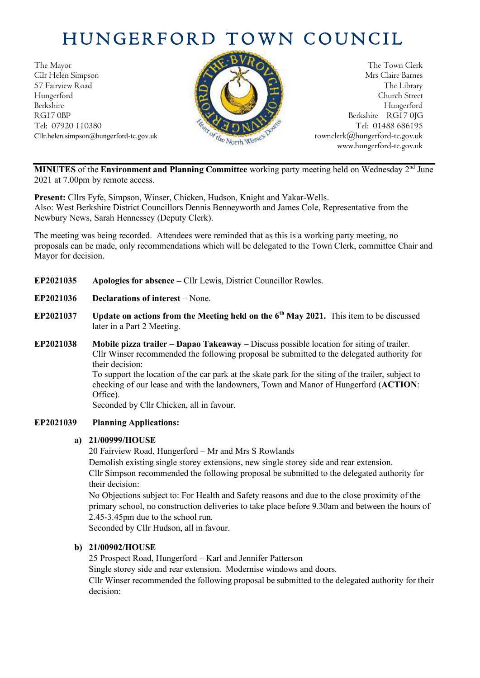# HUNGERFORD TOWN COUNCIL

The Mayor The Town Clerk<br>Clir Helen Simpson Mrs Claire Barnes Cllr Helen Simpson 57 Fairview Road The Library (1999) and the Library of the Library (1999) and the Library of the Library of the Library of the Library of the Library of the Library of the Library of the Library of the Library of the Libra Hungerford Church Street Berkshire Hungerford RG17 0BP Berkshire RG17 0JG Tel: 07920 110380 Tel: 01488 686195<br>Cllr.helen.simpson@hungerford-tc.gov.uk townclerk@hungerford-tc.gov.uk Cllr.helen.simpson@hungerford-tc.gov.uk town  $\mathscr{C}_{t_{\alpha}^{L}}$  North Wess



www.hungerford-tc.gov.uk

**MINUTES** of the **Environment and Planning Committee** working party meeting held on Wednesday 2<sup>nd</sup> June 2021 at 7.00pm by remote access.

**Present:** Cllrs Fyfe, Simpson, Winser, Chicken, Hudson, Knight and Yakar-Wells. Also: West Berkshire District Councillors Dennis Benneyworth and James Cole, Representative from the Newbury News, Sarah Hennessey (Deputy Clerk).

The meeting was being recorded. Attendees were reminded that as this is a working party meeting, no proposals can be made, only recommendations which will be delegated to the Town Clerk, committee Chair and Mayor for decision.

- **EP2021035 Apologies for absence –** Cllr Lewis, District Councillor Rowles.
- **EP2021036 Declarations of interest –** None.
- **EP2021037 Update on actions from the Meeting held on the 6th May 2021.** This item to be discussed later in a Part 2 Meeting.
- **EP2021038 Mobile pizza trailer – Dapao Takeaway –** Discuss possible location for siting of trailer. Cllr Winser recommended the following proposal be submitted to the delegated authority for their decision: To support the location of the car park at the skate park for the siting of the trailer, subject to checking of our lease and with the landowners, Town and Manor of Hungerford (**ACTION**:

Office). Seconded by Cllr Chicken, all in favour.

### **EP2021039 Planning Applications:**

### **a) 21/00999/HOUSE**

20 Fairview Road, Hungerford – Mr and Mrs S Rowlands

Demolish existing single storey extensions, new single storey side and rear extension. Cllr Simpson recommended the following proposal be submitted to the delegated authority for their decision:

No Objections subject to: For Health and Safety reasons and due to the close proximity of the primary school, no construction deliveries to take place before 9.30am and between the hours of 2.45-3.45pm due to the school run.

Seconded by Cllr Hudson, all in favour.

### **b) 21/00902/HOUSE**

25 Prospect Road, Hungerford – Karl and Jennifer Patterson

Single storey side and rear extension. Modernise windows and doors.

Cllr Winser recommended the following proposal be submitted to the delegated authority for their decision: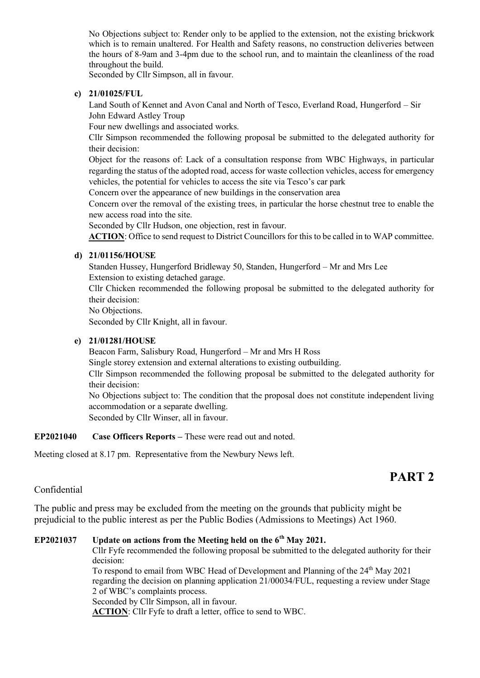No Objections subject to: Render only to be applied to the extension, not the existing brickwork which is to remain unaltered. For Health and Safety reasons, no construction deliveries between the hours of 8-9am and 3-4pm due to the school run, and to maintain the cleanliness of the road throughout the build.

Seconded by Cllr Simpson, all in favour.

#### **c) 21/01025/FUL**

Land South of Kennet and Avon Canal and North of Tesco, Everland Road, Hungerford – Sir John Edward Astley Troup

Four new dwellings and associated works.

Cllr Simpson recommended the following proposal be submitted to the delegated authority for their decision:

Object for the reasons of: Lack of a consultation response from WBC Highways, in particular regarding the status of the adopted road, access for waste collection vehicles, access for emergency vehicles, the potential for vehicles to access the site via Tesco's car park

Concern over the appearance of new buildings in the conservation area

Concern over the removal of the existing trees, in particular the horse chestnut tree to enable the new access road into the site.

Seconded by Cllr Hudson, one objection, rest in favour.

**ACTION**: Office to send request to District Councillors for this to be called in to WAP committee.

### **d) 21/01156/HOUSE**

Standen Hussey, Hungerford Bridleway 50, Standen, Hungerford – Mr and Mrs Lee Extension to existing detached garage.

Cllr Chicken recommended the following proposal be submitted to the delegated authority for their decision:

No Objections.

Seconded by Cllr Knight, all in favour.

#### **e) 21/01281/HOUSE**

Beacon Farm, Salisbury Road, Hungerford – Mr and Mrs H Ross

Single storey extension and external alterations to existing outbuilding.

Cllr Simpson recommended the following proposal be submitted to the delegated authority for their decision:

No Objections subject to: The condition that the proposal does not constitute independent living accommodation or a separate dwelling. Seconded by Cllr Winser, all in favour.

**EP2021040 Case Officers Reports –** These were read out and noted.

Meeting closed at 8.17 pm.Representative from the Newbury News left.

# **PART 2**

## Confidential

The public and press may be excluded from the meeting on the grounds that publicity might be prejudicial to the public interest as per the Public Bodies (Admissions to Meetings) Act 1960.

#### **EP2021037 Update on actions from the Meeting held on the 6th May 2021.**

Cllr Fyfe recommended the following proposal be submitted to the delegated authority for their decision:

To respond to email from WBC Head of Development and Planning of the 24<sup>th</sup> May 2021 regarding the decision on planning application 21/00034/FUL, requesting a review under Stage 2 of WBC's complaints process. Seconded by Cllr Simpson, all in favour.

**ACTION**: Cllr Fyfe to draft a letter, office to send to WBC.